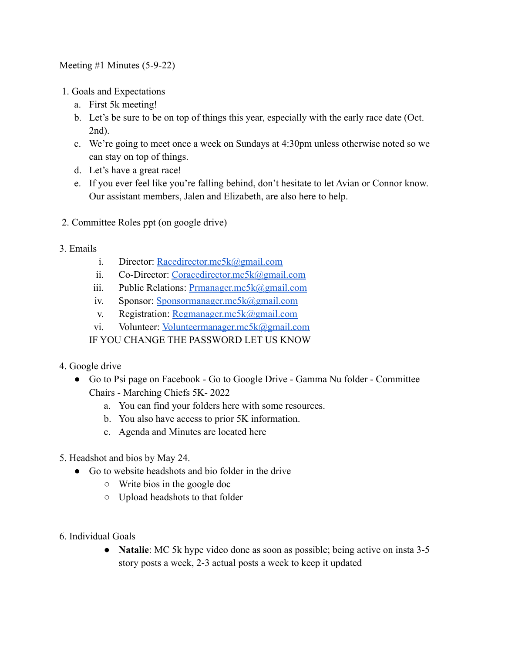Meeting #1 Minutes (5-9-22)

- 1. Goals and Expectations
	- a. First 5k meeting!
	- b. Let's be sure to be on top of things this year, especially with the early race date (Oct. 2nd).
	- c. We're going to meet once a week on Sundays at 4:30pm unless otherwise noted so we can stay on top of things.
	- d. Let's have a great race!
	- e. If you ever feel like you're falling behind, don't hesitate to let Avian or Connor know. Our assistant members, Jalen and Elizabeth, are also here to help.
- 2. Committee Roles ppt (on google drive)
- 3. Emails
	- i. Director: [Racedirector.mc5k@gmail.com](mailto:Racedirector.mc5k@gmail.com)
	- ii. Co-Director: [Coracedirector.mc5k@gmail.com](mailto:Coracedirector.mc5k@gmail.com)
	- iii. Public Relations: [Prmanager.mc5k@gmail.com](mailto:Prmanager.mc5k@gmail.com)
	- iv. Sponsor: [Sponsormanager.mc5k@gmail.com](mailto:Sponsormanager.mc5k@gmail.com)
	- v. Registration: [Regmanager.mc5k@gmail.com](mailto:Registrationmanager.mc5k@gmail.com)
	- vi. Volunteer: [Volunteermanager.mc5k@gmail.com](mailto:Volunteermanager.mc5k@gmail.com)
	- IF YOU CHANGE THE PASSWORD LET US KNOW
- 4. Google drive
	- Go to Psi page on Facebook Go to Google Drive Gamma Nu folder Committee Chairs - Marching Chiefs 5K- 2022
		- a. You can find your folders here with some resources.
		- b. You also have access to prior 5K information.
		- c. Agenda and Minutes are located here
- 5. Headshot and bios by May 24.
	- Go to website headshots and bio folder in the drive
		- Write bios in the google doc
		- Upload headshots to that folder
- 6. Individual Goals
	- **Natalie**: MC 5k hype video done as soon as possible; being active on insta 3-5 story posts a week, 2-3 actual posts a week to keep it updated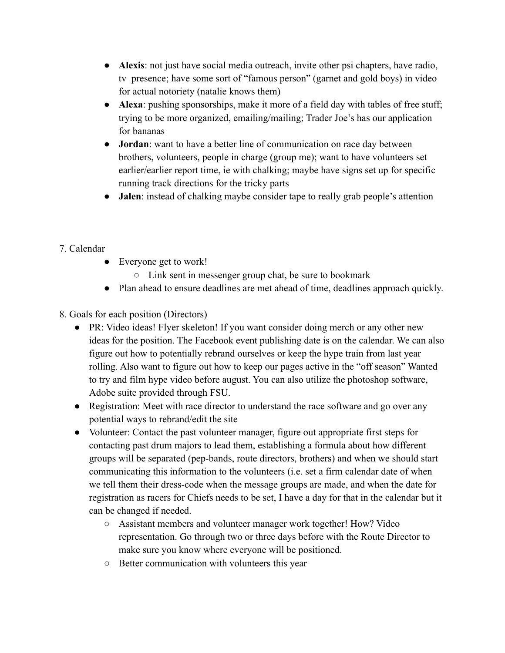- **Alexis**: not just have social media outreach, invite other psi chapters, have radio, tv presence; have some sort of "famous person" (garnet and gold boys) in video for actual notoriety (natalie knows them)
- **Alexa**: pushing sponsorships, make it more of a field day with tables of free stuff; trying to be more organized, emailing/mailing; Trader Joe's has our application for bananas
- **Jordan**: want to have a better line of communication on race day between brothers, volunteers, people in charge (group me); want to have volunteers set earlier/earlier report time, ie with chalking; maybe have signs set up for specific running track directions for the tricky parts
- **Jalen**: instead of chalking maybe consider tape to really grab people's attention

## 7. Calendar

- Everyone get to work!
	- Link sent in messenger group chat, be sure to bookmark
- Plan ahead to ensure deadlines are met ahead of time, deadlines approach quickly.
- 8. Goals for each position (Directors)
	- PR: Video ideas! Flyer skeleton! If you want consider doing merch or any other new ideas for the position. The Facebook event publishing date is on the calendar. We can also figure out how to potentially rebrand ourselves or keep the hype train from last year rolling. Also want to figure out how to keep our pages active in the "off season" Wanted to try and film hype video before august. You can also utilize the photoshop software, Adobe suite provided through FSU.
	- Registration: Meet with race director to understand the race software and go over any potential ways to rebrand/edit the site
	- Volunteer: Contact the past volunteer manager, figure out appropriate first steps for contacting past drum majors to lead them, establishing a formula about how different groups will be separated (pep-bands, route directors, brothers) and when we should start communicating this information to the volunteers (i.e. set a firm calendar date of when we tell them their dress-code when the message groups are made, and when the date for registration as racers for Chiefs needs to be set, I have a day for that in the calendar but it can be changed if needed.
		- Assistant members and volunteer manager work together! How? Video representation. Go through two or three days before with the Route Director to make sure you know where everyone will be positioned.
		- Better communication with volunteers this year